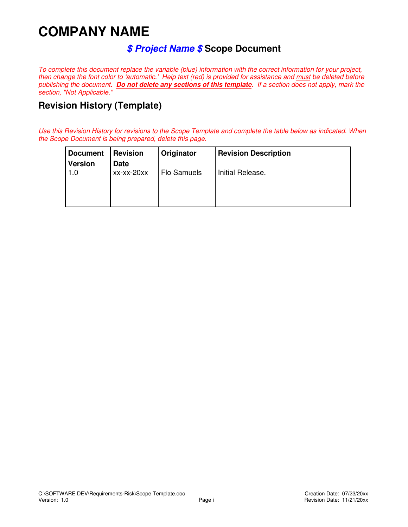# **COMPANY NAME**

## **\$ Project Name \$ Scope Document**

To complete this document replace the variable (blue) information with the correct information for your project, then change the font color to 'automatic.' Help text (red) is provided for assistance and must be deleted before publishing the document. **Do not delete any sections of this template**. If a section does not apply, mark the section, "Not Applicable."

## **Revision History (Template)**

Use this Revision History for revisions to the Scope Template and complete the table below as indicated. When the Scope Document is being prepared, delete this page.

| <b>Document</b> | <b>Revision</b> | Originator         | <b>Revision Description</b> |
|-----------------|-----------------|--------------------|-----------------------------|
| <b>Version</b>  | <b>Date</b>     |                    |                             |
| 1.0             | xx-xx-20xx      | <b>Flo Samuels</b> | Initial Release.            |
|                 |                 |                    |                             |
|                 |                 |                    |                             |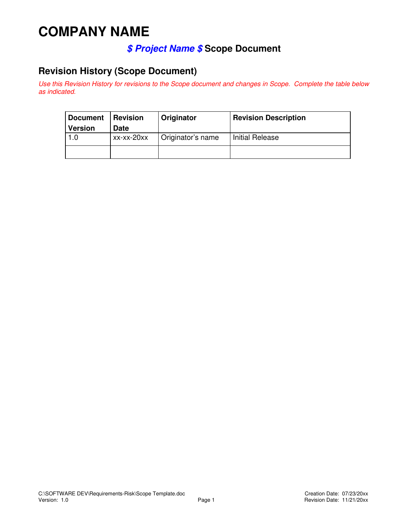# **COMPANY NAME**

# **\$ Project Name \$ Scope Document**

# **Revision History (Scope Document)**

Use this Revision History for revisions to the Scope document and changes in Scope. Complete the table below as indicated.

| <b>Document</b> | <b>Revision</b> | Originator        | <b>Revision Description</b> |
|-----------------|-----------------|-------------------|-----------------------------|
| <b>Version</b>  | <b>Date</b>     |                   |                             |
| 1.0             | xx-xx-20xx      | Originator's name | <b>Initial Release</b>      |
|                 |                 |                   |                             |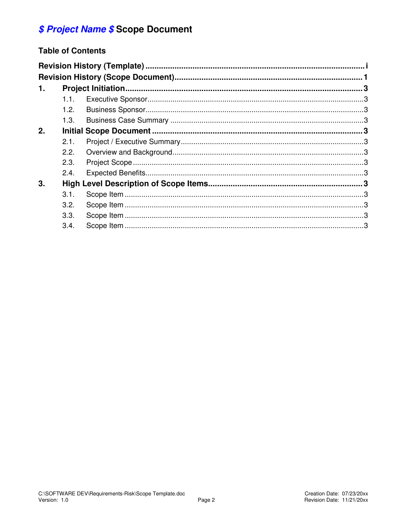# \$ Project Name \$ Scope Document

### **Table of Contents**

| 1. |      |  |  |  |  |
|----|------|--|--|--|--|
|    | 1.1. |  |  |  |  |
|    | 1.2. |  |  |  |  |
|    | 1.3. |  |  |  |  |
| 2. |      |  |  |  |  |
|    | 2.1. |  |  |  |  |
|    | 2.2. |  |  |  |  |
|    | 2.3. |  |  |  |  |
|    | 2.4. |  |  |  |  |
| 3. |      |  |  |  |  |
|    | 3.1. |  |  |  |  |
|    | 3.2. |  |  |  |  |
|    | 3.3. |  |  |  |  |
|    | 3.4. |  |  |  |  |